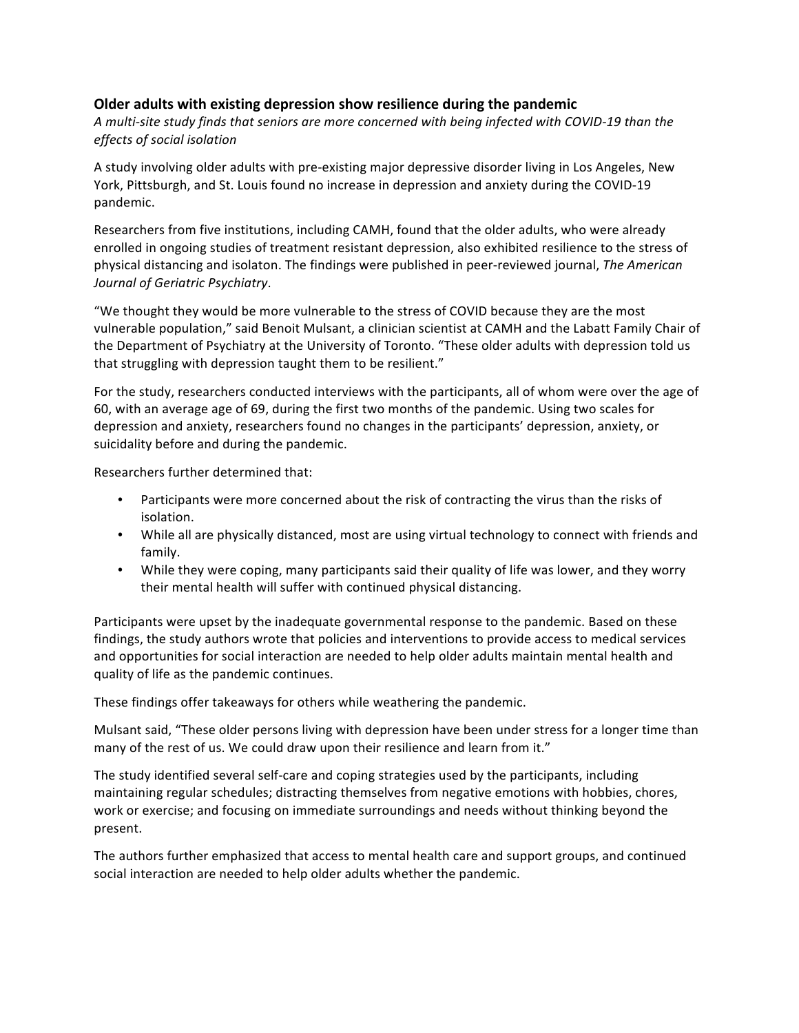## **Older adults with existing depression show resilience during the pandemic**

A multi-site study finds that seniors are more concerned with being infected with COVID-19 than the *effects of social isolation*

A study involving older adults with pre-existing major depressive disorder living in Los Angeles, New York, Pittsburgh, and St. Louis found no increase in depression and anxiety during the COVID-19 pandemic.

Researchers from five institutions, including CAMH, found that the older adults, who were already enrolled in ongoing studies of treatment resistant depression, also exhibited resilience to the stress of physical distancing and isolaton. The findings were published in peer-reviewed journal, *The American Journal of Geriatric Psychiatry*.

"We thought they would be more vulnerable to the stress of COVID because they are the most vulnerable population," said Benoit Mulsant, a clinician scientist at CAMH and the Labatt Family Chair of the Department of Psychiatry at the University of Toronto. "These older adults with depression told us that struggling with depression taught them to be resilient."

For the study, researchers conducted interviews with the participants, all of whom were over the age of 60, with an average age of 69, during the first two months of the pandemic. Using two scales for depression and anxiety, researchers found no changes in the participants' depression, anxiety, or suicidality before and during the pandemic.

Researchers further determined that:

- Participants were more concerned about the risk of contracting the virus than the risks of isolation.
- While all are physically distanced, most are using virtual technology to connect with friends and family.
- While they were coping, many participants said their quality of life was lower, and they worry their mental health will suffer with continued physical distancing.

Participants were upset by the inadequate governmental response to the pandemic. Based on these findings, the study authors wrote that policies and interventions to provide access to medical services and opportunities for social interaction are needed to help older adults maintain mental health and quality of life as the pandemic continues.

These findings offer takeaways for others while weathering the pandemic.

Mulsant said, "These older persons living with depression have been under stress for a longer time than many of the rest of us. We could draw upon their resilience and learn from it."

The study identified several self-care and coping strategies used by the participants, including maintaining regular schedules; distracting themselves from negative emotions with hobbies, chores, work or exercise; and focusing on immediate surroundings and needs without thinking beyond the present.

The authors further emphasized that access to mental health care and support groups, and continued social interaction are needed to help older adults whether the pandemic.